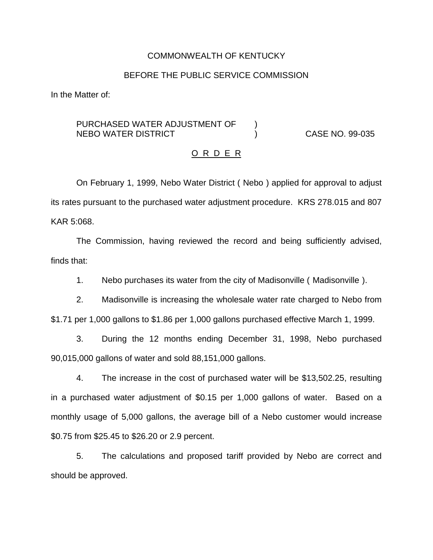### COMMONWEALTH OF KENTUCKY

## BEFORE THE PUBLIC SERVICE COMMISSION

In the Matter of:

# PURCHASED WATER ADJUSTMENT OF  $\qquad$  ) NEBO WATER DISTRICT ) CASE NO. 99-035

#### O R D E R

On February 1, 1999, Nebo Water District ( Nebo ) applied for approval to adjust its rates pursuant to the purchased water adjustment procedure. KRS 278.015 and 807 KAR 5:068.

The Commission, having reviewed the record and being sufficiently advised, finds that:

1. Nebo purchases its water from the city of Madisonville ( Madisonville ).

2. Madisonville is increasing the wholesale water rate charged to Nebo from \$1.71 per 1,000 gallons to \$1.86 per 1,000 gallons purchased effective March 1, 1999.

3. During the 12 months ending December 31, 1998, Nebo purchased 90,015,000 gallons of water and sold 88,151,000 gallons.

4. The increase in the cost of purchased water will be \$13,502.25, resulting in a purchased water adjustment of \$0.15 per 1,000 gallons of water. Based on a monthly usage of 5,000 gallons, the average bill of a Nebo customer would increase \$0.75 from \$25.45 to \$26.20 or 2.9 percent.

5. The calculations and proposed tariff provided by Nebo are correct and should be approved.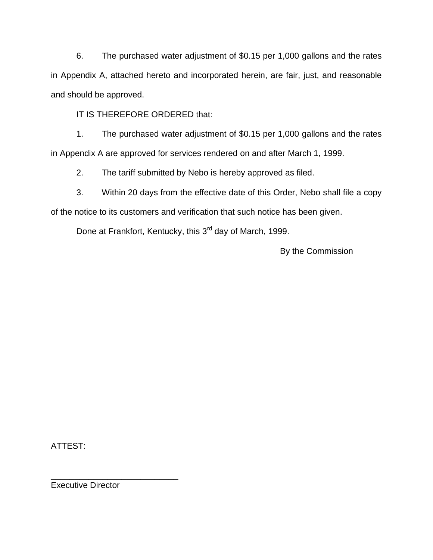6. The purchased water adjustment of \$0.15 per 1,000 gallons and the rates in Appendix A, attached hereto and incorporated herein, are fair, just, and reasonable and should be approved.

IT IS THEREFORE ORDERED that:

1. The purchased water adjustment of \$0.15 per 1,000 gallons and the rates in Appendix A are approved for services rendered on and after March 1, 1999.

2. The tariff submitted by Nebo is hereby approved as filed.

3. Within 20 days from the effective date of this Order, Nebo shall file a copy

of the notice to its customers and verification that such notice has been given.

Done at Frankfort, Kentucky, this 3<sup>rd</sup> day of March, 1999.

By the Commission

ATTEST:

\_\_\_\_\_\_\_\_\_\_\_\_\_\_\_\_\_\_\_\_\_\_\_\_\_\_\_ Executive Director